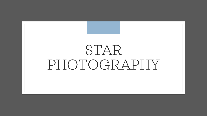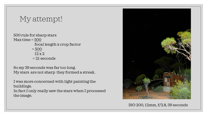# My attempt!

500 rule for sharp stars Max time = 500 focal length x crop factor = 500  $12 \times 2$ = 21 seconds

So my 39 seconds was far too long. My stars are not sharp they formed a streak.

I was more concerned with light painting the buildings.

In fact I only really saw the stars when I processed the image.



ISO 200, 12mm, f/2.8, 39 seconds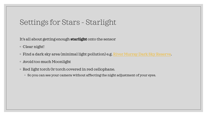## Settings for Stars - Starlight

It's all about getting enough **starlight** onto the sensor

- Clear night!
- Find a dark sky area (minimal light pollution) e.g. <u>River Murray Dark Sky Reserve</u>.
- Avoid too much Moonlight
- Red light torch 0r torch covered in red cellophane.
	- So you can see your camera without affecting the night adjustment of your eyes.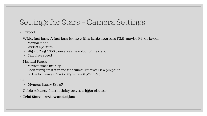# Settings for Stars – Camera Settings

### ◦ Tripod

- Wide, fast lens. A fast lens is one with a large aperture F2.8 (maybe F4) or lower.
	- Manual mode
	- Widest aperture
	- High ISO e.g. 1600 (preserves the colour of the stars)
	- Calculate speed
- Manual Focus
	- Move focus to infinity
	- Look at brightest star and fine tune till that star is a pin point.
		- Use focus magnification if you have it (x7 or x10)

#### Or

- Olympus Starry Sky AF
- Cable release, shutter delay etc. to trigger shutter.
- **Trial Shots – review and adjust**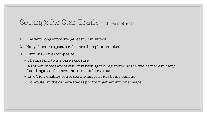## Settings for Star Trails – three methods

- 1. One very long exposure (at least 30 minutes)
- 2. Many shorter exposures that are then photo stacked.
- 3. Olympus Live Composite
	- The first photo is a base exposure
	- As other photos are taken, only new light is registered so the trail is made but any buildings etc. that are static are not blown out.
	- Live View enables you to see the image as it is being built up.
	- Computer in the camera stacks photos together into one image.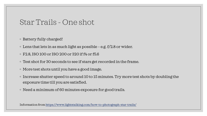### Star Trails - One shot

- Battery fully charged!
- $\circ$  Lens that lets in as much light as possible e.g. f/2.8 or wider.
- F2.8, ISO 100 or ISO 200 or 320 if f4 or f5.6
- Test shot for 30 seconds to see if stars get recorded in the frame.
- More test shots until you have a good image.
- Increase shutter speed to around 10 to 15 minutes. Try more test shots by doubling the exposure time till you are satisfied.
- Need a minimum of 60 minutes exposure for good trails.

Information from <https://www.lightstalking.com/how-to-photograph-star-trails/>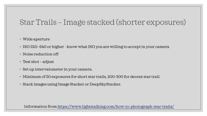# Star Trails – Image stacked (shorter exposures)

#### ◦ Wide aperture

- ISO 320- 640 or higher -know what ISO you are willing to accept in your camera
- Noise reduction off
- Test shot adjust
- Set up intervalometer in your camera.
- Minimum of 50 exposures for short star trails, 200-300 for decent star trail.
- Stack images using Image Stacker or DeepSkyStacker.

Information from<https://www.lightstalking.com/how-to-photograph-star-trails/>